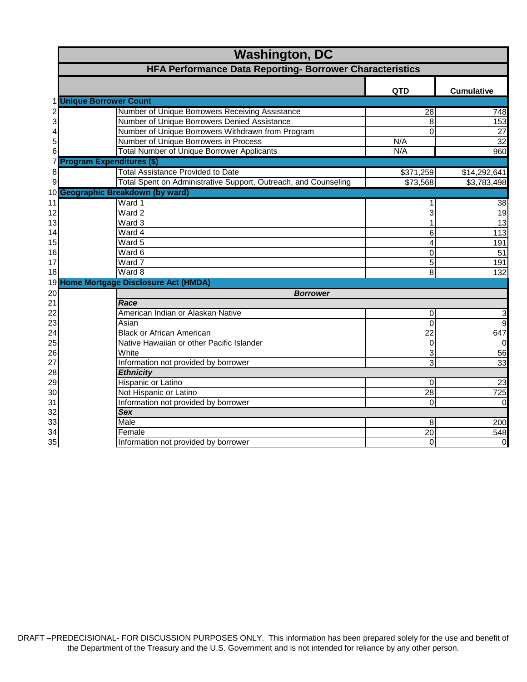|    | <b>Washington, DC</b>                                           |                |                   |
|----|-----------------------------------------------------------------|----------------|-------------------|
|    | HFA Performance Data Reporting- Borrower Characteristics        |                |                   |
|    |                                                                 | <b>QTD</b>     | <b>Cumulative</b> |
|    | 1 Unique Borrower Count                                         |                |                   |
|    | Number of Unique Borrowers Receiving Assistance                 | 28             | 748               |
|    | Number of Unique Borrowers Denied Assistance                    | 8              | 153               |
|    | Number of Unique Borrowers Withdrawn from Program               | $\Omega$       | $\overline{27}$   |
| 5  | Number of Unique Borrowers in Process                           | N/A            | 32                |
| 6  | <b>Total Number of Unique Borrower Applicants</b>               | N/A            | 960               |
| 7  | <b>Program Expenditures (\$)</b>                                |                |                   |
| 8  | <b>Total Assistance Provided to Date</b>                        | \$371,259      | \$14,292,641      |
| 9  | Total Spent on Administrative Support, Outreach, and Counseling | \$73,568       | \$3,783,498       |
|    | 10 Geographic Breakdown (by ward)                               |                |                   |
| 11 | Ward 1                                                          |                | 38                |
| 12 | Ward 2                                                          | 3              | $\overline{19}$   |
| 13 | Ward 3                                                          | 1              | 13                |
| 14 | Ward 4                                                          | 6              | $\overline{113}$  |
| 15 | Ward 5                                                          | 4              | 191               |
| 16 | Ward 6                                                          | $\Omega$       | $\overline{51}$   |
| 17 | Ward 7                                                          | 5              | 191               |
| 18 | Ward 8                                                          | 8              | 132               |
|    | 19 Home Mortgage Disclosure Act (HMDA)                          |                |                   |
| 20 | <b>Borrower</b>                                                 |                |                   |
| 21 | Race                                                            |                |                   |
| 22 | American Indian or Alaskan Native                               | 0              | 3                 |
| 23 | Asian                                                           | $\overline{0}$ | 9                 |
| 24 | <b>Black or African American</b>                                | 22             | 647               |
| 25 | Native Hawaiian or other Pacific Islander                       | 0              | $\Omega$          |
| 26 | White                                                           | 3              | 56                |
| 27 | Information not provided by borrower                            | 3              | 33                |
| 28 | <b>Ethnicity</b>                                                |                |                   |
| 29 | Hispanic or Latino                                              | 0              | $\overline{23}$   |
| 30 | Not Hispanic or Latino                                          | 28             | 725               |
| 31 | Information not provided by borrower                            | 0              | $\Omega$          |
| 32 | <b>Sex</b>                                                      |                |                   |
| 33 | Male                                                            | 8              | 200               |
| 34 | Female                                                          | 20             | 548               |
| 35 | Information not provided by borrower                            | 0              | $\overline{0}$    |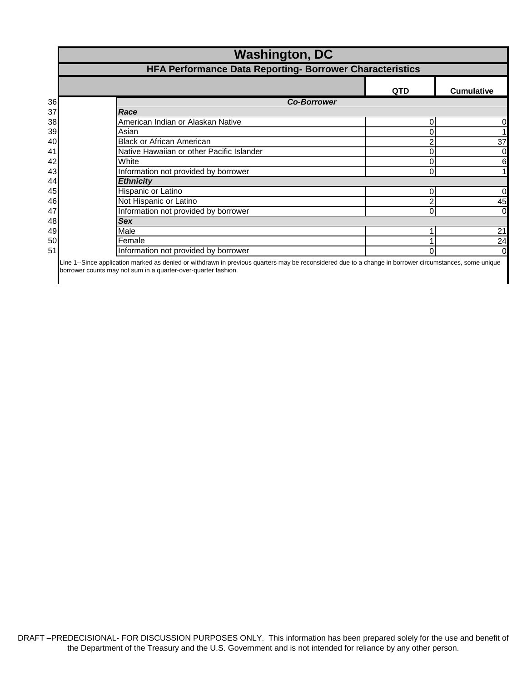| HFA Performance Data Reporting- Borrower Characteristics |            |                                                                      |  |
|----------------------------------------------------------|------------|----------------------------------------------------------------------|--|
|                                                          | <b>QTD</b> | <b>Cumulative</b>                                                    |  |
|                                                          |            |                                                                      |  |
| Race                                                     |            |                                                                      |  |
| American Indian or Alaskan Native                        |            | 0                                                                    |  |
| Asian                                                    | 0          |                                                                      |  |
| <b>Black or African American</b>                         |            | 37                                                                   |  |
| Native Hawaiian or other Pacific Islander                |            | 0                                                                    |  |
| White                                                    | 0          | 6                                                                    |  |
| Information not provided by borrower                     |            |                                                                      |  |
| <b>Ethnicity</b>                                         |            |                                                                      |  |
| Hispanic or Latino                                       |            | 0                                                                    |  |
| Not Hispanic or Latino                                   | 2          | 45                                                                   |  |
| Information not provided by borrower                     |            | $\overline{0}$                                                       |  |
| <b>Sex</b>                                               |            |                                                                      |  |
| Male                                                     |            | 21                                                                   |  |
| Female                                                   |            | 24                                                                   |  |
| Information not provided by borrower                     | 0          | $\overline{0}$                                                       |  |
|                                                          |            | <b>Washington, DC</b><br><b>Co-Borrower</b><br>0<br>0<br>0<br>0<br>0 |  |

-Since application marked as denied or withdrawn in previous quarters may be reconsidered due to a change in borrower circumstances, some unique borrower counts may not sum in a quarter-over-quarter fashion.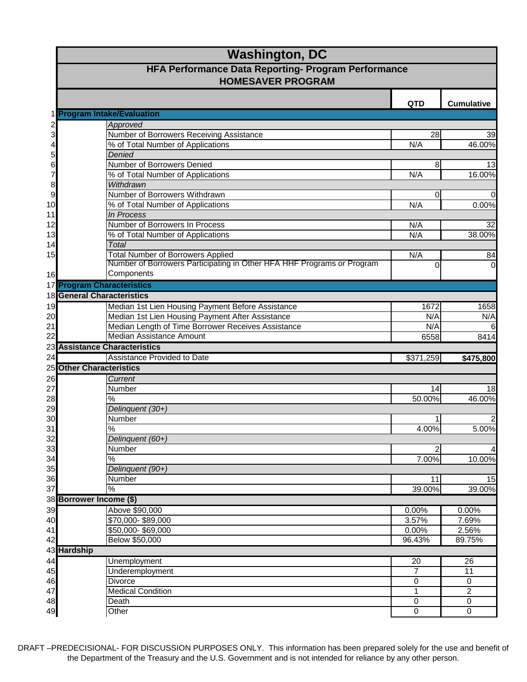|                | <b>Washington, DC</b>                                                                  |                |                         |
|----------------|----------------------------------------------------------------------------------------|----------------|-------------------------|
|                | <b>HFA Performance Data Reporting- Program Performance</b><br><b>HOMESAVER PROGRAM</b> |                |                         |
|                |                                                                                        | <b>QTD</b>     | <b>Cumulative</b>       |
|                | 1 Program Intake/Evaluation                                                            |                |                         |
| $\frac{2}{3}$  | Approved                                                                               |                |                         |
|                | Number of Borrowers Receiving Assistance                                               | 28             | 39                      |
| 4              | % of Total Number of Applications                                                      | N/A            | 46.00%                  |
| 5              | Denied                                                                                 |                |                         |
| 6              | Number of Borrowers Denied                                                             | 8              | 13                      |
| 7              | % of Total Number of Applications                                                      | N/A            | 16.00%                  |
| 8              | Withdrawn<br>Number of Borrowers Withdrawn                                             |                |                         |
| $\overline{9}$ |                                                                                        | 0              | $\mathbf 0$             |
| 10             | % of Total Number of Applications<br>In Process                                        | N/A            | 0.00%                   |
| 11             | Number of Borrowers In Process                                                         |                |                         |
| 12<br>13       | % of Total Number of Applications                                                      | N/A<br>N/A     | 32<br>38.00%            |
|                | <b>Total</b>                                                                           |                |                         |
| 14<br>15       | <b>Total Number of Borrowers Applied</b>                                               | N/A            |                         |
|                | Number of Borrowers Participating in Other HFA HHF Programs or Program                 | $\Omega$       | 84<br>$\overline{0}$    |
| 16             | Components                                                                             |                |                         |
|                | 17 Program Characteristics                                                             |                |                         |
|                | <b>18 General Characteristics</b>                                                      |                |                         |
|                | Median 1st Lien Housing Payment Before Assistance                                      | 1672           | 1658                    |
| 19             | Median 1st Lien Housing Payment After Assistance                                       | N/A            | N/A                     |
| 20             | Median Length of Time Borrower Receives Assistance                                     |                |                         |
| 21<br>22       | Median Assistance Amount                                                               | N/A<br>6558    | 6<br>8414               |
|                | 23 Assistance Characteristics                                                          |                |                         |
| 24             | <b>Assistance Provided to Date</b>                                                     | \$371,259      |                         |
|                | <b>25 Other Characteristics</b>                                                        |                | \$475,800               |
|                | Current                                                                                |                |                         |
| 26<br>27       | Number                                                                                 |                |                         |
| 28             | $\%$                                                                                   | 14<br>50.00%   | 18                      |
| 29             | Delinquent (30+)                                                                       |                | 46.00%                  |
| 30             | Number                                                                                 |                |                         |
| 31             | $\frac{8}{3}$                                                                          | 4.00%          | $\overline{c}$<br>5.00% |
| 32             | Delinquent (60+)                                                                       |                |                         |
| 33             | Number                                                                                 |                | 4                       |
| 34             | %                                                                                      | 7.00%          | 10.00%                  |
| 35             | Delinquent (90+)                                                                       |                |                         |
| 36             | Number                                                                                 | 11             | 15                      |
| 37             | $\frac{1}{6}$                                                                          | 39.00%         | 39.00%                  |
|                | 38 Borrower Income (\$)                                                                |                |                         |
| 39             | Above \$90,000                                                                         | 0.00%          | 0.00%                   |
| 40             | \$70,000-\$89,000                                                                      | 3.57%          | 7.69%                   |
| 41             | \$50,000-\$69,000                                                                      | 0.00%          | 2.56%                   |
| 42             | Below \$50,000                                                                         | 96.43%         | 89.75%                  |
|                | 43 Hardship                                                                            |                |                         |
| 44             | <b>Unemployment</b>                                                                    | 20             | 26                      |
| 45             | Underemployment                                                                        | $\overline{7}$ | 11                      |
| 46             | <b>Divorce</b>                                                                         | 0              | 0                       |
| 47             | <b>Medical Condition</b>                                                               | 1              | $\overline{c}$          |
| 48             | Death                                                                                  | 0              | 0                       |
| 49             | Other                                                                                  | $\mathbf 0$    | 0                       |
|                |                                                                                        |                |                         |

DRAFT –PREDECISIONAL- FOR DISCUSSION PURPOSES ONLY. This information has been prepared solely for the use and benefit of the Department of the Treasury and the U.S. Government and is not intended for reliance by any other person.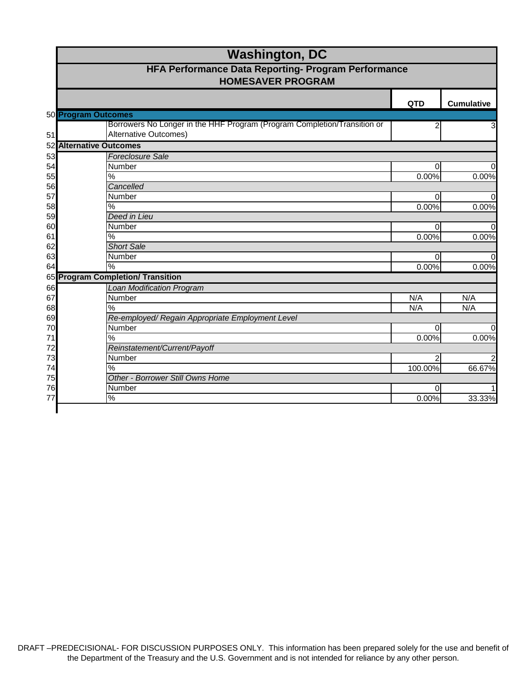|    | <b>Washington, DC</b>                                                                                    |            |                   |
|----|----------------------------------------------------------------------------------------------------------|------------|-------------------|
|    | HFA Performance Data Reporting- Program Performance<br><b>HOMESAVER PROGRAM</b>                          |            |                   |
|    |                                                                                                          | <b>QTD</b> | <b>Cumulative</b> |
|    | 50 Program Outcomes                                                                                      |            |                   |
| 51 | Borrowers No Longer in the HHF Program (Program Completion/Transition or<br><b>Alternative Outcomes)</b> | 2          | $\overline{3}$    |
| 52 | <b>Alternative Outcomes</b>                                                                              |            |                   |
| 53 | <b>Foreclosure Sale</b>                                                                                  |            |                   |
| 54 | Number                                                                                                   | $\Omega$   | $\Omega$          |
| 55 | %                                                                                                        | 0.00%      | 0.00%             |
| 56 | Cancelled                                                                                                |            |                   |
| 57 | Number                                                                                                   | $\Omega$   | $\Omega$          |
| 58 | %                                                                                                        | 0.00%      | 0.00%             |
| 59 | Deed in Lieu                                                                                             |            |                   |
| 60 | Number                                                                                                   | $\Omega$   | $\overline{0}$    |
| 61 | $\%$                                                                                                     | 0.00%      | 0.00%             |
| 62 | <b>Short Sale</b>                                                                                        |            |                   |
| 63 | Number                                                                                                   | $\Omega$   | $\Omega$          |
| 64 | $\frac{0}{0}$                                                                                            | 0.00%      | 0.00%             |
|    | 65 Program Completion/ Transition                                                                        |            |                   |
| 66 | <b>Loan Modification Program</b>                                                                         |            |                   |
| 67 | Number                                                                                                   | N/A        | N/A               |
| 68 | $\%$                                                                                                     | N/A        | N/A               |
| 69 | Re-employed/ Regain Appropriate Employment Level                                                         |            |                   |
| 70 | Number                                                                                                   | 0          | $\overline{0}$    |
| 71 | $\%$                                                                                                     | 0.00%      | 0.00%             |
| 72 | Reinstatement/Current/Payoff                                                                             |            |                   |
| 73 | Number                                                                                                   | 2          | 2                 |
| 74 | %                                                                                                        | 100.00%    | 66.67%            |
| 75 | Other - Borrower Still Owns Home                                                                         |            |                   |
| 76 | Number                                                                                                   | $\Omega$   | $\mathbf{1}$      |
| 77 | %                                                                                                        | 0.00%      | 33.33%            |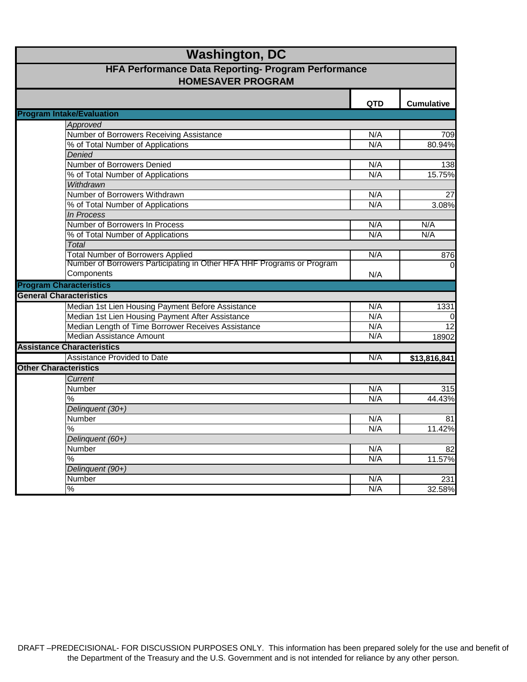| <b>Washington, DC</b><br>HFA Performance Data Reporting- Program Performance<br><b>HOMESAVER PROGRAM</b> |     |              |
|----------------------------------------------------------------------------------------------------------|-----|--------------|
|                                                                                                          |     |              |
| <b>Program Intake/Evaluation</b>                                                                         |     |              |
| Approved                                                                                                 |     |              |
| Number of Borrowers Receiving Assistance                                                                 | N/A | 709          |
| % of Total Number of Applications                                                                        | N/A | 80.94%       |
| Denied                                                                                                   |     |              |
| Number of Borrowers Denied                                                                               | N/A | 138          |
| % of Total Number of Applications                                                                        | N/A | 15.75%       |
| Withdrawn                                                                                                |     |              |
| Number of Borrowers Withdrawn                                                                            | N/A | 27           |
| % of Total Number of Applications                                                                        | N/A | 3.08%        |
| <b>In Process</b>                                                                                        |     |              |
| Number of Borrowers In Process                                                                           | N/A | N/A          |
| % of Total Number of Applications                                                                        | N/A | N/A          |
| Total                                                                                                    |     |              |
| <b>Total Number of Borrowers Applied</b>                                                                 | N/A | 876          |
| Number of Borrowers Participating in Other HFA HHF Programs or Program                                   |     | $\Omega$     |
| Components                                                                                               | N/A |              |
| <b>Program Characteristics</b>                                                                           |     |              |
| <b>General Characteristics</b>                                                                           |     |              |
| Median 1st Lien Housing Payment Before Assistance                                                        | N/A | 1331         |
| Median 1st Lien Housing Payment After Assistance                                                         | N/A |              |
| Median Length of Time Borrower Receives Assistance                                                       | N/A | 12           |
| <b>Median Assistance Amount</b>                                                                          | N/A | 18902        |
| <b>Assistance Characteristics</b>                                                                        |     |              |
| Assistance Provided to Date                                                                              | N/A | \$13,816,841 |
| <b>Other Characteristics</b>                                                                             |     |              |
| Current                                                                                                  |     |              |
| Number                                                                                                   | N/A | 315          |
| %                                                                                                        | N/A | 44.43%       |
| Delinquent (30+)                                                                                         |     |              |
| Number                                                                                                   | N/A | 81           |
| $\frac{1}{2}$                                                                                            | N/A | 11.42%       |
| Delinquent (60+)                                                                                         |     |              |
| Number                                                                                                   | N/A | 82           |
| $\frac{1}{2}$                                                                                            | N/A | 11.57%       |
| Delinquent (90+)                                                                                         |     |              |
| Number                                                                                                   | N/A | 231          |
| $\frac{0}{6}$                                                                                            | N/A | 32.58%       |